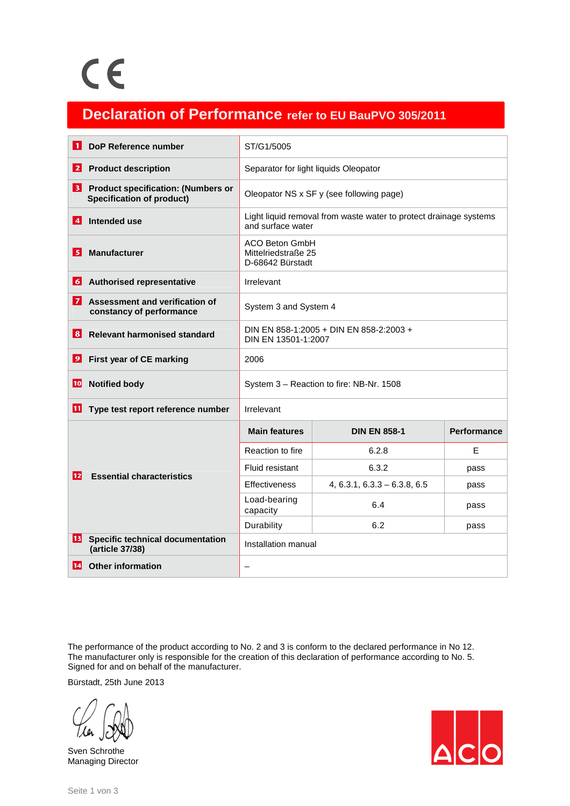## **Declaration of Performance refer to EU BauPVO 305/2011**

| 11              | DoP Reference number                                                          | ST/G1/5005                                                                             |                                |                    |
|-----------------|-------------------------------------------------------------------------------|----------------------------------------------------------------------------------------|--------------------------------|--------------------|
| $\mathbf{2}$    | <b>Product description</b>                                                    | Separator for light liquids Oleopator                                                  |                                |                    |
| 3               | <b>Product specification: (Numbers or</b><br><b>Specification of product)</b> | Oleopator NS x SF y (see following page)                                               |                                |                    |
| $\vert$ 4       | Intended use                                                                  | Light liquid removal from waste water to protect drainage systems<br>and surface water |                                |                    |
| 5               | <b>Manufacturer</b>                                                           | <b>ACO Beton GmbH</b><br>Mittelriedstraße 25<br>D-68642 Bürstadt                       |                                |                    |
| $\vert 6 \vert$ | <b>Authorised representative</b>                                              | Irrelevant                                                                             |                                |                    |
| 7               | Assessment and verification of<br>constancy of performance                    | System 3 and System 4                                                                  |                                |                    |
| 8               | <b>Relevant harmonised standard</b>                                           | DIN EN 858-1:2005 + DIN EN 858-2:2003 +<br>DIN EN 13501-1:2007                         |                                |                    |
| 9               | First year of CE marking                                                      | 2006                                                                                   |                                |                    |
| 10              | <b>Notified body</b>                                                          | System 3 - Reaction to fire: NB-Nr. 1508                                               |                                |                    |
| 11              | Type test report reference number                                             | Irrelevant                                                                             |                                |                    |
|                 | <b>Essential characteristics</b>                                              | <b>Main features</b>                                                                   | <b>DIN EN 858-1</b>            | <b>Performance</b> |
|                 |                                                                               | Reaction to fire                                                                       | 6.2.8                          | F                  |
| 12              |                                                                               | Fluid resistant                                                                        | 6.3.2                          | pass               |
|                 |                                                                               | <b>Effectiveness</b>                                                                   | $4, 6.3.1, 6.3.3 - 6.3.8, 6.5$ | pass               |
|                 |                                                                               | Load-bearing<br>capacity                                                               | 6.4                            | pass               |
|                 |                                                                               | Durability                                                                             | 6.2                            | pass               |
| 13              | <b>Specific technical documentation</b><br>(article 37/38)                    | Installation manual                                                                    |                                |                    |
| 14              | <b>Other information</b>                                                      | —                                                                                      |                                |                    |

The performance of the product according to No. 2 and 3 is conform to the declared performance in No 12. The manufacturer only is responsible for the creation of this declaration of performance according to No. 5. Signed for and on behalf of the manufacturer.

Bürstadt, 25th June 2013

Sven Schrothe Managing Director

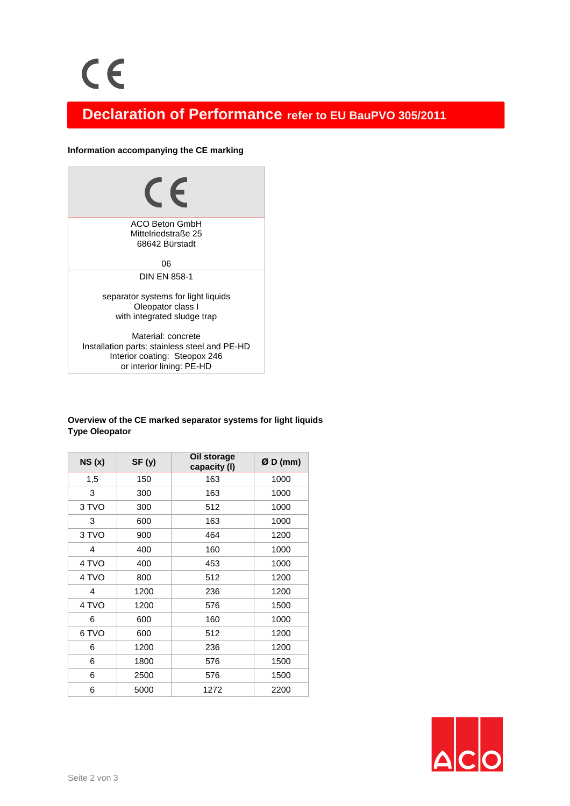### **Declaration of Performance refer to EU BauPVO 305/2011**

#### **Information accompanying the CE marking**



Installation parts: stainless steel and PE-HD Interior coating: Steopox 246 or interior lining: PE-HD

#### **Overview of the CE marked separator systems for light liquids Type Oleopator**

| NS(x) | SF(y) | Oil storage<br>capacity (I) | $ØD$ (mm) |
|-------|-------|-----------------------------|-----------|
| 1,5   | 150   | 163                         | 1000      |
| 3     | 300   | 163                         | 1000      |
| 3 TVO | 300   | 512                         | 1000      |
| 3     | 600   | 163                         | 1000      |
| 3 TVO | 900   | 464                         | 1200      |
| 4     | 400   | 160                         | 1000      |
| 4 TVO | 400   | 453                         | 1000      |
| 4 TVO | 800   | 512                         | 1200      |
| 4     | 1200  | 236                         | 1200      |
| 4 TVO | 1200  | 576                         | 1500      |
| 6     | 600   | 160                         | 1000      |
| 6 TVO | 600   | 512                         | 1200      |
| 6     | 1200  | 236                         | 1200      |
| 6     | 1800  | 576                         | 1500      |
| 6     | 2500  | 576                         | 1500      |
| 6     | 5000  | 1272                        | 2200      |